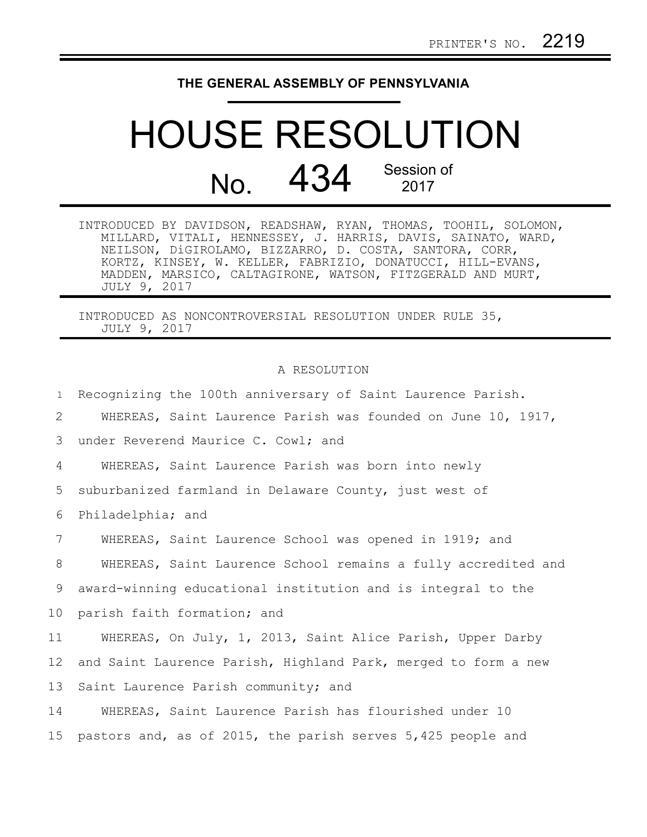## **THE GENERAL ASSEMBLY OF PENNSYLVANIA**

## HOUSE RESOLUTION No. 434 Session of 2017

| INTRODUCED BY DAVIDSON, READSHAW, RYAN, THOMAS, TOOHIL, SOLOMON, |  |  |
|------------------------------------------------------------------|--|--|
| MILLARD, VITALI, HENNESSEY, J. HARRIS, DAVIS, SAINATO, WARD,     |  |  |
| NEILSON, DiGIROLAMO, BIZZARRO, D. COSTA, SANTORA, CORR,          |  |  |
| KORTZ, KINSEY, W. KELLER, FABRIZIO, DONATUCCI, HILL-EVANS,       |  |  |
| MADDEN, MARSICO, CALTAGIRONE, WATSON, FITZGERALD AND MURT,       |  |  |
| JULY 9, 2017                                                     |  |  |

INTRODUCED AS NONCONTROVERSIAL RESOLUTION UNDER RULE 35, JULY 9, 2017

## A RESOLUTION

| $\mathbf{1}$    | Recognizing the 100th anniversary of Saint Laurence Parish.    |
|-----------------|----------------------------------------------------------------|
| 2               | WHEREAS, Saint Laurence Parish was founded on June 10, 1917,   |
| 3               | under Reverend Maurice C. Cowl; and                            |
| 4               | WHEREAS, Saint Laurence Parish was born into newly             |
| 5               | suburbanized farmland in Delaware County, just west of         |
| 6               | Philadelphia; and                                              |
| $7\phantom{.0}$ | WHEREAS, Saint Laurence School was opened in 1919; and         |
| 8               | WHEREAS, Saint Laurence School remains a fully accredited and  |
| 9               | award-winning educational institution and is integral to the   |
| 10              | parish faith formation; and                                    |
| 11              | WHEREAS, On July, 1, 2013, Saint Alice Parish, Upper Darby     |
| 12              | and Saint Laurence Parish, Highland Park, merged to form a new |
| 13              | Saint Laurence Parish community; and                           |
| 14              | WHEREAS, Saint Laurence Parish has flourished under 10         |
| 15              | pastors and, as of 2015, the parish serves 5,425 people and    |